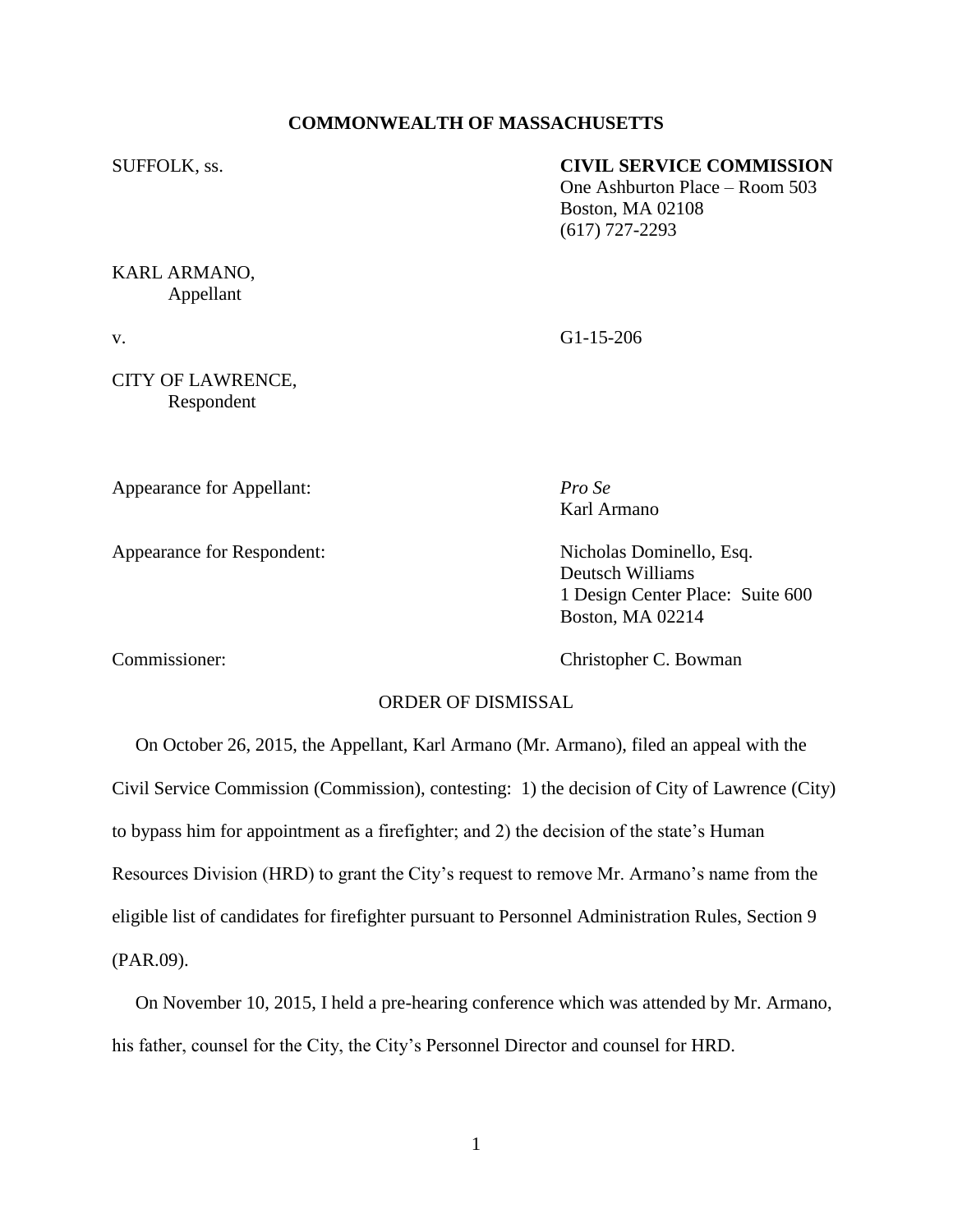## **COMMONWEALTH OF MASSACHUSETTS**

### SUFFOLK, ss. **CIVIL SERVICE COMMISSION**

One Ashburton Place – Room 503 Boston, MA 02108 (617) 727-2293

# KARL ARMANO, Appellant

CITY OF LAWRENCE, Respondent

Appearance for Appellant: *Pro Se*

Appearance for Respondent: Nicholas Dominello, Esq.

v. G1-15-206

Karl Armano

Deutsch Williams 1 Design Center Place: Suite 600 Boston, MA 02214

Commissioner: Christopher C. Bowman

# ORDER OF DISMISSAL

 On October 26, 2015, the Appellant, Karl Armano (Mr. Armano), filed an appeal with the Civil Service Commission (Commission), contesting: 1) the decision of City of Lawrence (City) to bypass him for appointment as a firefighter; and 2) the decision of the state's Human Resources Division (HRD) to grant the City's request to remove Mr. Armano's name from the eligible list of candidates for firefighter pursuant to Personnel Administration Rules, Section 9 (PAR.09).

 On November 10, 2015, I held a pre-hearing conference which was attended by Mr. Armano, his father, counsel for the City, the City's Personnel Director and counsel for HRD.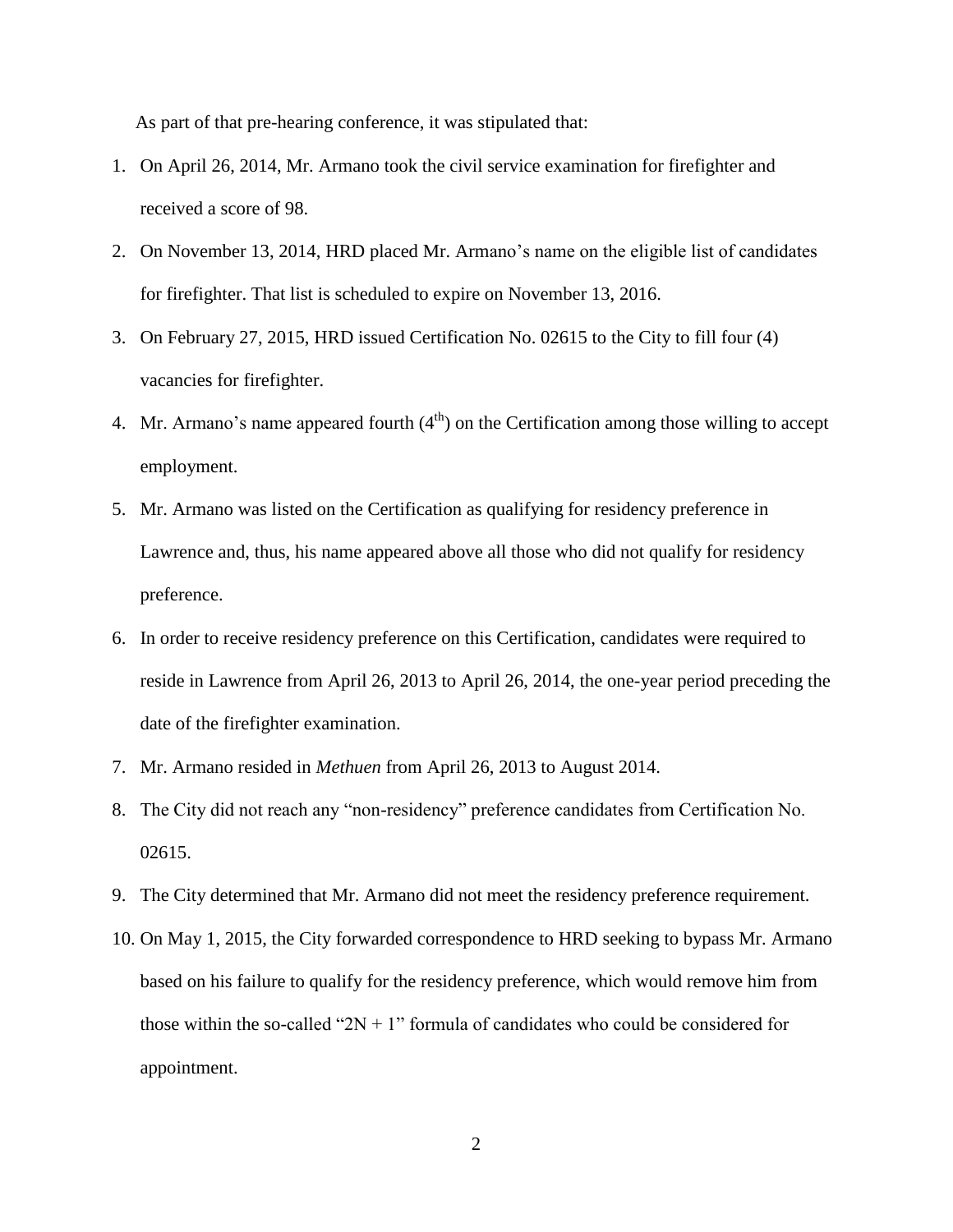As part of that pre-hearing conference, it was stipulated that:

- 1. On April 26, 2014, Mr. Armano took the civil service examination for firefighter and received a score of 98.
- 2. On November 13, 2014, HRD placed Mr. Armano's name on the eligible list of candidates for firefighter. That list is scheduled to expire on November 13, 2016.
- 3. On February 27, 2015, HRD issued Certification No. 02615 to the City to fill four (4) vacancies for firefighter.
- 4. Mr. Armano's name appeared fourth  $(4<sup>th</sup>)$  on the Certification among those willing to accept employment.
- 5. Mr. Armano was listed on the Certification as qualifying for residency preference in Lawrence and, thus, his name appeared above all those who did not qualify for residency preference.
- 6. In order to receive residency preference on this Certification, candidates were required to reside in Lawrence from April 26, 2013 to April 26, 2014, the one-year period preceding the date of the firefighter examination.
- 7. Mr. Armano resided in *Methuen* from April 26, 2013 to August 2014.
- 8. The City did not reach any "non-residency" preference candidates from Certification No. 02615.
- 9. The City determined that Mr. Armano did not meet the residency preference requirement.
- 10. On May 1, 2015, the City forwarded correspondence to HRD seeking to bypass Mr. Armano based on his failure to qualify for the residency preference, which would remove him from those within the so-called " $2N + 1$ " formula of candidates who could be considered for appointment.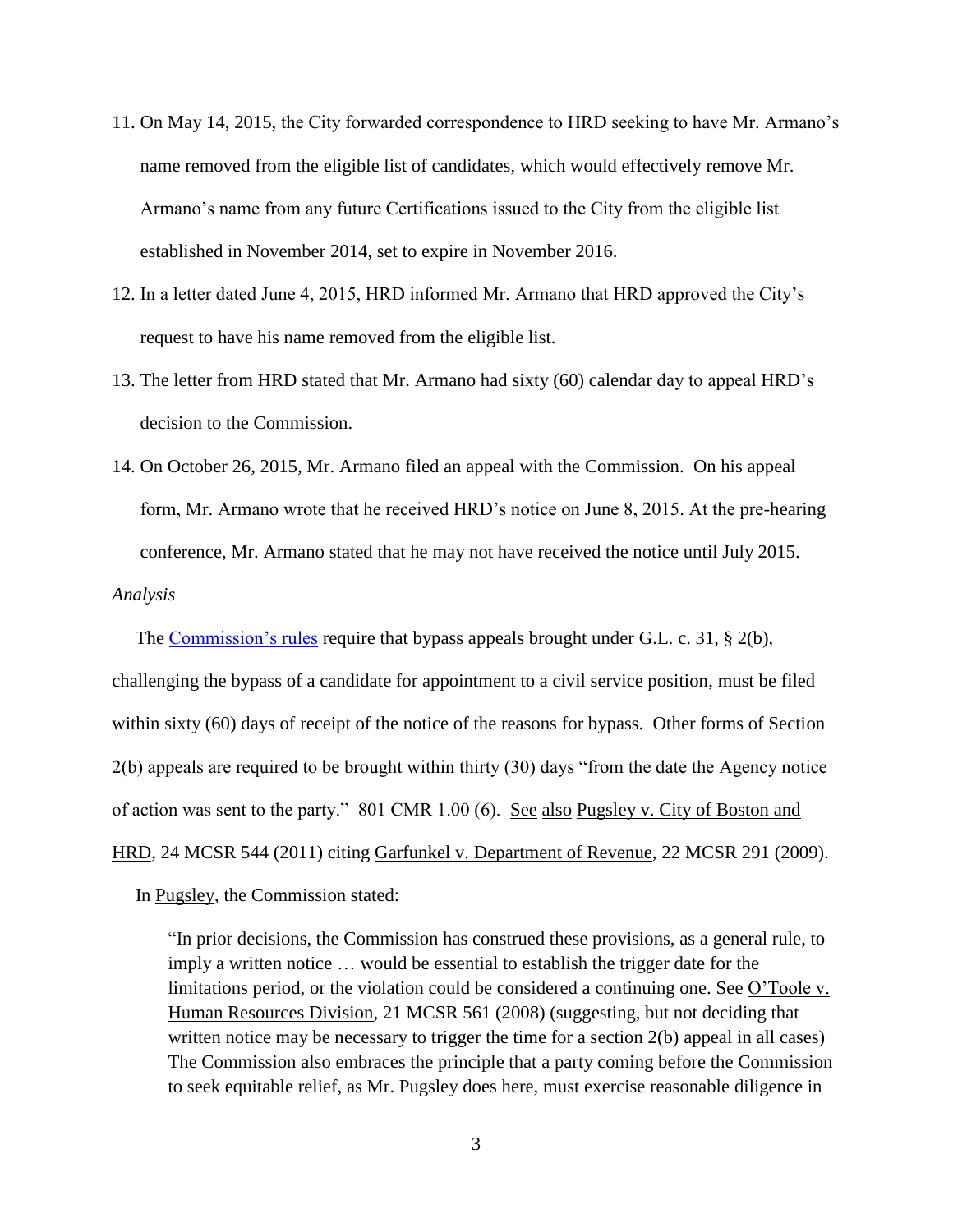- 11. On May 14, 2015, the City forwarded correspondence to HRD seeking to have Mr. Armano's name removed from the eligible list of candidates, which would effectively remove Mr. Armano's name from any future Certifications issued to the City from the eligible list established in November 2014, set to expire in November 2016.
- 12. In a letter dated June 4, 2015, HRD informed Mr. Armano that HRD approved the City's request to have his name removed from the eligible list.
- 13. The letter from HRD stated that Mr. Armano had sixty (60) calendar day to appeal HRD's decision to the Commission.
- 14. On October 26, 2015, Mr. Armano filed an appeal with the Commission. On his appeal form, Mr. Armano wrote that he received HRD's notice on June 8, 2015. At the pre-hearing conference, Mr. Armano stated that he may not have received the notice until July 2015.

*Analysis* 

The [Commission's rules](http://www.mass.gov/anf/hearings-and-appeals/oversight-agencies/csc/bypass-appeal-statute-of-limitations.html) require that bypass appeals brought under G.L. c. 31, § 2(b), challenging the bypass of a candidate for appointment to a civil service position, must be filed within sixty (60) days of receipt of the notice of the reasons for bypass. Other forms of Section 2(b) appeals are required to be brought within thirty (30) days "from the date the Agency notice of action was sent to the party." 801 CMR 1.00 (6). See also Pugsley v. City of Boston and HRD, 24 MCSR 544 (2011) citing Garfunkel v. Department of Revenue, 22 MCSR 291 (2009).

In Pugsley, the Commission stated:

"In prior decisions, the Commission has construed these provisions, as a general rule, to imply a written notice … would be essential to establish the trigger date for the limitations period, or the violation could be considered a continuing one. See O'Toole v. Human Resources Division, 21 MCSR 561 (2008) (suggesting, but not deciding that written notice may be necessary to trigger the time for a section 2(b) appeal in all cases) The Commission also embraces the principle that a party coming before the Commission to seek equitable relief, as Mr. Pugsley does here, must exercise reasonable diligence in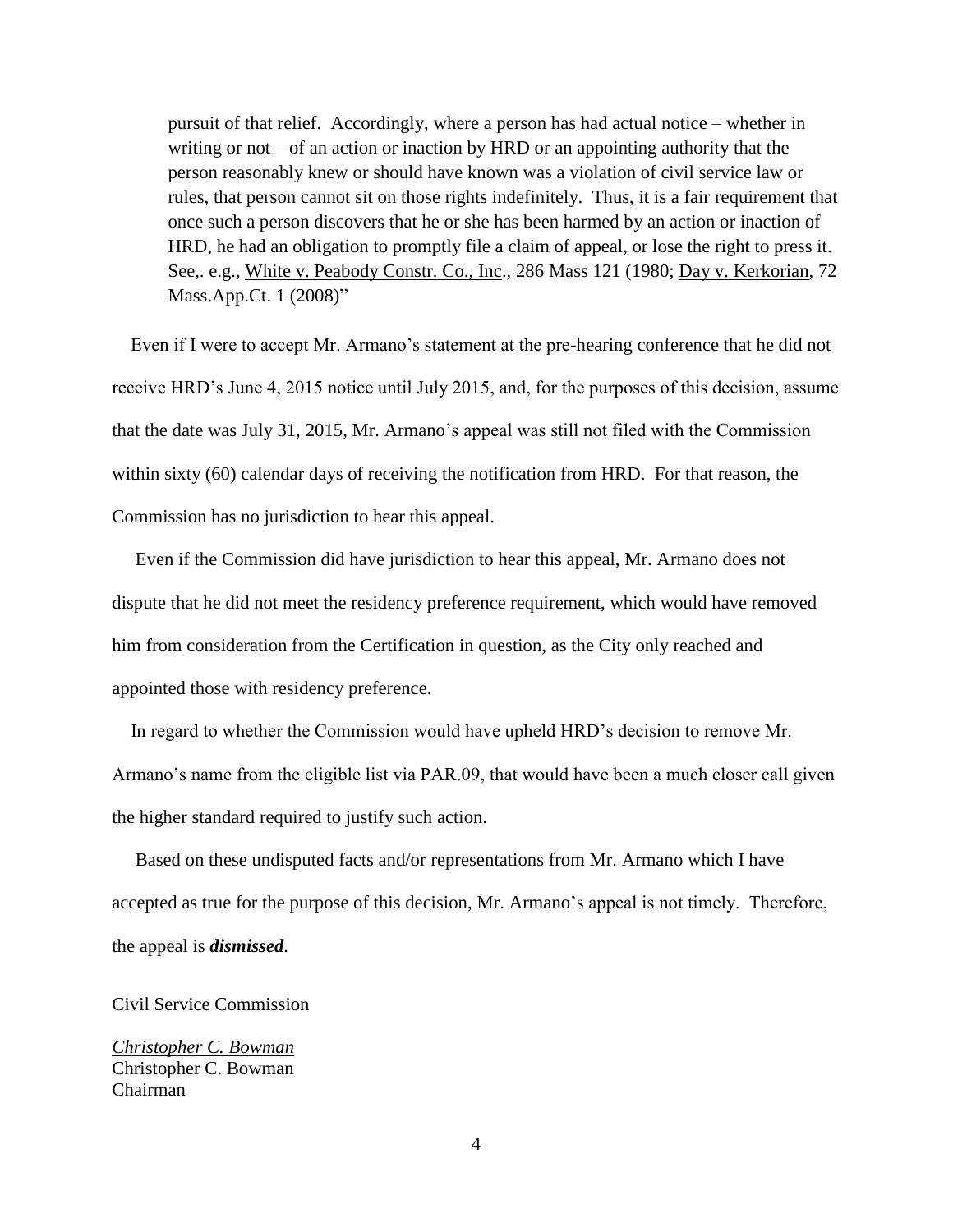pursuit of that relief. Accordingly, where a person has had actual notice – whether in writing or not  $-$  of an action or inaction by HRD or an appointing authority that the person reasonably knew or should have known was a violation of civil service law or rules, that person cannot sit on those rights indefinitely. Thus, it is a fair requirement that once such a person discovers that he or she has been harmed by an action or inaction of HRD, he had an obligation to promptly file a claim of appeal, or lose the right to press it. See., e.g., White v. Peabody Constr. Co., Inc., 286 Mass 121 (1980; Day v. Kerkorian, 72 Mass.App.Ct. 1 (2008)"

 Even if I were to accept Mr. Armano's statement at the pre-hearing conference that he did not receive HRD's June 4, 2015 notice until July 2015, and, for the purposes of this decision, assume that the date was July 31, 2015, Mr. Armano's appeal was still not filed with the Commission within sixty (60) calendar days of receiving the notification from HRD. For that reason, the Commission has no jurisdiction to hear this appeal.

 Even if the Commission did have jurisdiction to hear this appeal, Mr. Armano does not dispute that he did not meet the residency preference requirement, which would have removed him from consideration from the Certification in question, as the City only reached and appointed those with residency preference.

 In regard to whether the Commission would have upheld HRD's decision to remove Mr. Armano's name from the eligible list via PAR.09, that would have been a much closer call given the higher standard required to justify such action.

 Based on these undisputed facts and/or representations from Mr. Armano which I have accepted as true for the purpose of this decision, Mr. Armano's appeal is not timely. Therefore, the appeal is *dismissed*.

### Civil Service Commission

*Christopher C. Bowman* Christopher C. Bowman Chairman